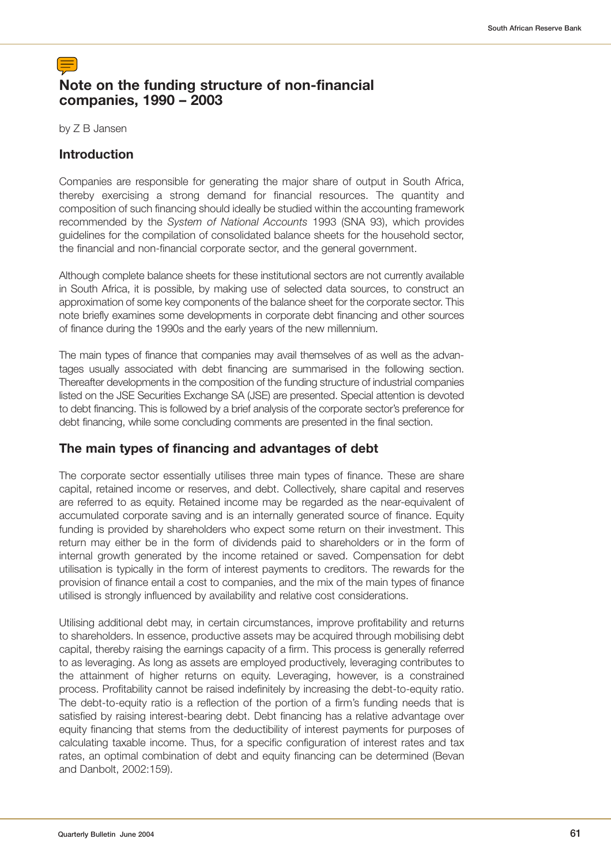# **Note on the funding structure of non-financial companies, 1990 – 2003**

by Z B Jansen

## **Introduction**

Companies are responsible for generating the major share of output in South Africa, thereby exercising a strong demand for financial resources. The quantity and composition of such financing should ideally be studied within the accounting framework recommended by the System of National Accounts 1993 (SNA 93), which provides guidelines for the compilation of consolidated balance sheets for the household sector, the financial and non-financial corporate sector, and the general government.

Although complete balance sheets for these institutional sectors are not currently available in South Africa, it is possible, by making use of selected data sources, to construct an approximation of some key components of the balance sheet for the corporate sector. This note briefly examines some developments in corporate debt financing and other sources of finance during the 1990s and the early years of the new millennium.

The main types of finance that companies may avail themselves of as well as the advantages usually associated with debt financing are summarised in the following section. Thereafter developments in the composition of the funding structure of industrial companies listed on the JSE Securities Exchange SA (JSE) are presented. Special attention is devoted to debt financing. This is followed by a brief analysis of the corporate sector's preference for debt financing, while some concluding comments are presented in the final section.

## **The main types of financing and advantages of debt**

The corporate sector essentially utilises three main types of finance. These are share capital, retained income or reserves, and debt. Collectively, share capital and reserves are referred to as equity. Retained income may be regarded as the near-equivalent of accumulated corporate saving and is an internally generated source of finance. Equity funding is provided by shareholders who expect some return on their investment. This return may either be in the form of dividends paid to shareholders or in the form of internal growth generated by the income retained or saved. Compensation for debt utilisation is typically in the form of interest payments to creditors. The rewards for the provision of finance entail a cost to companies, and the mix of the main types of finance utilised is strongly influenced by availability and relative cost considerations.

Utilising additional debt may, in certain circumstances, improve profitability and returns to shareholders. In essence, productive assets may be acquired through mobilising debt capital, thereby raising the earnings capacity of a firm. This process is generally referred to as leveraging. As long as assets are employed productively, leveraging contributes to the attainment of higher returns on equity. Leveraging, however, is a constrained process. Profitability cannot be raised indefinitely by increasing the debt-to-equity ratio. The debt-to-equity ratio is a reflection of the portion of a firm's funding needs that is satisfied by raising interest-bearing debt. Debt financing has a relative advantage over equity financing that stems from the deductibility of interest payments for purposes of calculating taxable income. Thus, for a specific configuration of interest rates and tax rates, an optimal combination of debt and equity financing can be determined (Bevan and Danbolt, 2002:159).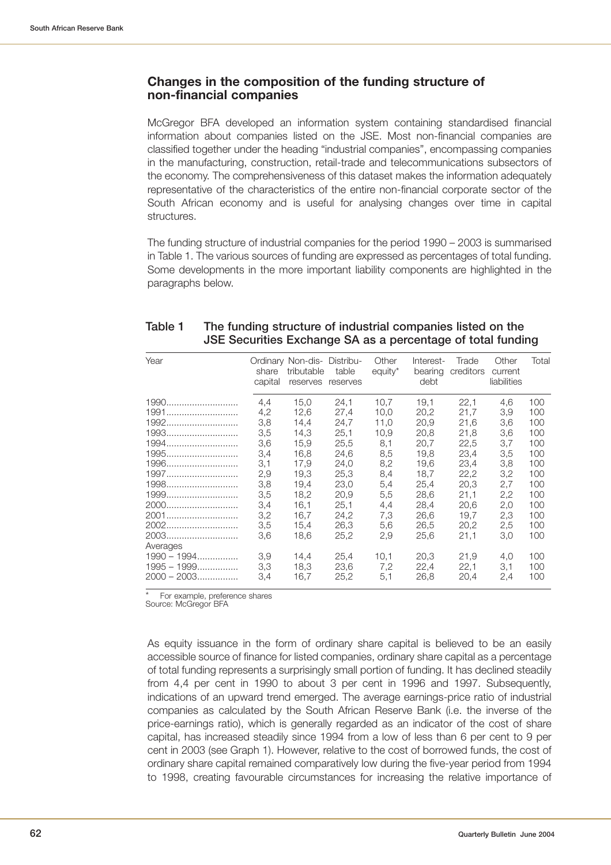### **Changes in the composition of the funding structure of non-financial companies**

McGregor BFA developed an information system containing standardised financial information about companies listed on the JSE. Most non-financial companies are classified together under the heading "industrial companies", encompassing companies in the manufacturing, construction, retail-trade and telecommunications subsectors of the economy. The comprehensiveness of this dataset makes the information adequately representative of the characteristics of the entire non-financial corporate sector of the South African economy and is useful for analysing changes over time in capital structures.

The funding structure of industrial companies for the period 1990 – 2003 is summarised in Table 1. The various sources of funding are expressed as percentages of total funding. Some developments in the more important liability components are highlighted in the paragraphs below.

| Year          | share<br>capital | Ordinary Non-dis- Distribu-<br>tributable<br>reserves | table<br>reserves | Other<br>equity* | Interest-<br>bearing<br>debt | Trade<br>creditors | Other<br>current<br>liabilities | Total      |
|---------------|------------------|-------------------------------------------------------|-------------------|------------------|------------------------------|--------------------|---------------------------------|------------|
| 1990<br>1991  | 4,4<br>4,2       | 15.0<br>12,6                                          | 24.1<br>27,4      | 10.7<br>10,0     | 19.1<br>20,2                 | 22.1<br>21,7       | 4.6<br>3,9                      | 100<br>100 |
| 1992          | 3,8              | 14,4                                                  | 24,7              | 11.0             | 20.9                         | 21,6               | 3,6                             | 100        |
| 1993          | 3,5              | 14,3                                                  | 25,1              | 10.9             | 20.8                         | 21.8               | 3,6                             | 100        |
| 1994          | 3,6              | 15,9                                                  | 25,5              | 8,1              | 20,7                         | 22,5               | 3,7                             | 100        |
| 1995          | 3,4              | 16.8                                                  | 24.6              | 8,5              | 19.8                         | 23.4               | 3,5                             | 100        |
| 1996          | 3,1              | 17.9                                                  | 24.0              | 8,2              | 19.6                         | 23.4               | 3,8                             | 100        |
| 1997          | 2,9              | 19.3                                                  | 25.3              | 8,4              | 18.7                         | 22,2               | 3,2                             | 100        |
| 1998          | 3,8              | 19,4                                                  | 23,0              | 5,4              | 25,4                         | 20,3               | 2,7                             | 100        |
| 1999          | 3,5              | 18,2                                                  | 20,9              | 5,5              | 28,6                         | 21,1               | 2,2                             | 100        |
| 2000          | 3,4              | 16.1                                                  | 25.1              | 4.4              | 28.4                         | 20.6               | 2,0                             | 100        |
| 2001          | 3,2              | 16,7                                                  | 24,2              | 7,3              | 26,6                         | 19.7               | 2,3                             | 100        |
| 2002          | 3,5              | 15,4                                                  | 26,3              | 5,6              | 26.5                         | 20.2               | 2,5                             | 100        |
| 2003          | 3,6              | 18.6                                                  | 25.2              | 2,9              | 25.6                         | 21,1               | 3,0                             | 100        |
| Averages      |                  |                                                       |                   |                  |                              |                    |                                 |            |
| $1990 - 1994$ | 3.9              | 14,4                                                  | 25,4              | 10,1             | 20,3                         | 21,9               | 4,0                             | 100        |
| $1995 - 1999$ | 3,3              | 18.3                                                  | 23,6              | 7,2              | 22.4                         | 22.1               | 3,1                             | 100        |
| $2000 - 2003$ | 3,4              | 16,7                                                  | 25,2              | 5,1              | 26.8                         | 20,4               | 2,4                             | 100        |

#### **Table 1 The funding structure of industrial companies listed on the JSE Securities Exchange SA as a percentage of total funding**

For example, preference shares

Source: McGregor BFA

As equity issuance in the form of ordinary share capital is believed to be an easily accessible source of finance for listed companies, ordinary share capital as a percentage of total funding represents a surprisingly small portion of funding. It has declined steadily from 4,4 per cent in 1990 to about 3 per cent in 1996 and 1997. Subsequently, indications of an upward trend emerged. The average earnings-price ratio of industrial companies as calculated by the South African Reserve Bank (i.e. the inverse of the price-earnings ratio), which is generally regarded as an indicator of the cost of share capital, has increased steadily since 1994 from a low of less than 6 per cent to 9 per cent in 2003 (see Graph 1). However, relative to the cost of borrowed funds, the cost of ordinary share capital remained comparatively low during the five-year period from 1994 to 1998, creating favourable circumstances for increasing the relative importance of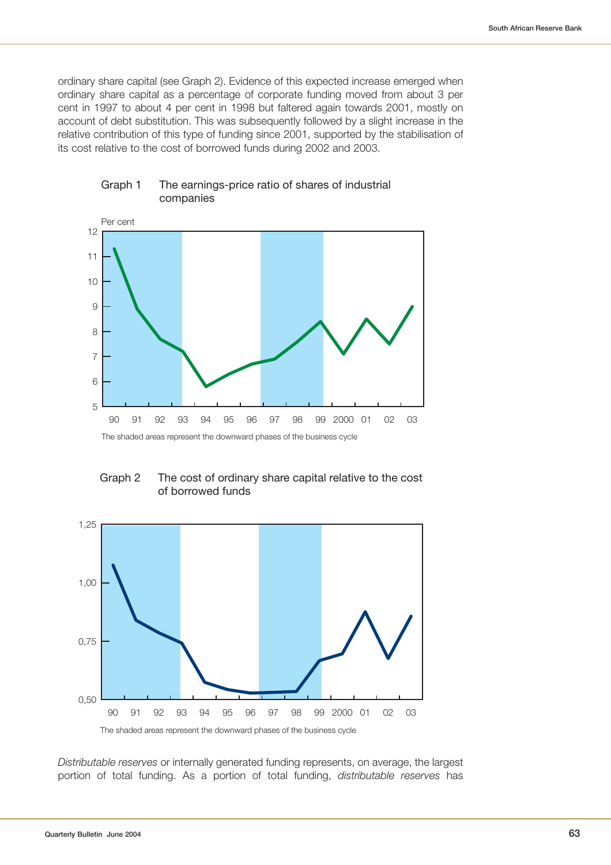ordinary share capital (see Graph 2). Evidence of this expected increase emerged when ordinary share capital as a percentage of corporate funding moved from about 3 per cent in 1997 to about 4 per cent in 1998 but faltered again towards 2001, mostly on account of debt substitution. This was subsequently followed by a slight increase in the relative contribution of this type of funding since 2001, supported by the stabilisation of its cost relative to the cost of borrowed funds during 2002 and 2003.



#### Graph 1 The earnings-price ratio of shares of industrial companies





Distributable reserves or internally generated funding represents, on average, the largest portion of total funding. As a portion of total funding, distributable reserves has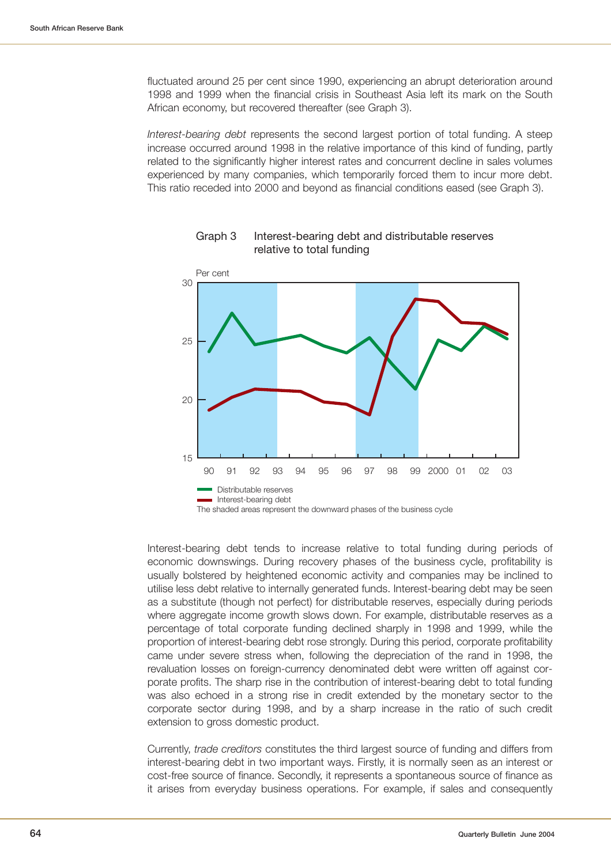fluctuated around 25 per cent since 1990, experiencing an abrupt deterioration around 1998 and 1999 when the financial crisis in Southeast Asia left its mark on the South African economy, but recovered thereafter (see Graph 3).

Interest-bearing debt represents the second largest portion of total funding. A steep increase occurred around 1998 in the relative importance of this kind of funding, partly related to the significantly higher interest rates and concurrent decline in sales volumes experienced by many companies, which temporarily forced them to incur more debt. This ratio receded into 2000 and beyond as financial conditions eased (see Graph 3).



Graph 3 Interest-bearing debt and distributable reserves relative to total funding

Interest-bearing debt tends to increase relative to total funding during periods of economic downswings. During recovery phases of the business cycle, profitability is usually bolstered by heightened economic activity and companies may be inclined to utilise less debt relative to internally generated funds. Interest-bearing debt may be seen as a substitute (though not perfect) for distributable reserves, especially during periods where aggregate income growth slows down. For example, distributable reserves as a percentage of total corporate funding declined sharply in 1998 and 1999, while the proportion of interest-bearing debt rose strongly. During this period, corporate profitability came under severe stress when, following the depreciation of the rand in 1998, the revaluation losses on foreign-currency denominated debt were written off against corporate profits. The sharp rise in the contribution of interest-bearing debt to total funding was also echoed in a strong rise in credit extended by the monetary sector to the corporate sector during 1998, and by a sharp increase in the ratio of such credit extension to gross domestic product.

Currently, trade creditors constitutes the third largest source of funding and differs from interest-bearing debt in two important ways. Firstly, it is normally seen as an interest or cost-free source of finance. Secondly, it represents a spontaneous source of finance as it arises from everyday business operations. For example, if sales and consequently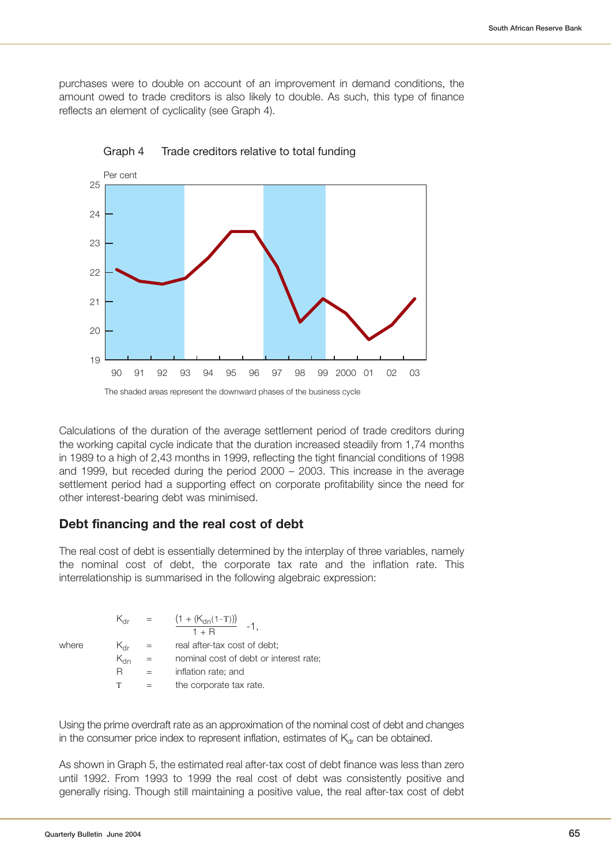purchases were to double on account of an improvement in demand conditions, the amount owed to trade creditors is also likely to double. As such, this type of finance reflects an element of cyclicality (see Graph 4).





Calculations of the duration of the average settlement period of trade creditors during the working capital cycle indicate that the duration increased steadily from 1,74 months in 1989 to a high of 2,43 months in 1999, reflecting the tight financial conditions of 1998 and 1999, but receded during the period 2000 – 2003. This increase in the average settlement period had a supporting effect on corporate profitability since the need for other interest-bearing debt was minimised.

#### **Debt financing and the real cost of debt**

The real cost of debt is essentially determined by the interplay of three variables, namely the nominal cost of debt, the corporate tax rate and the inflation rate. This interrelationship is summarised in the following algebraic expression:

 $K_{\text{dr}}$  =  $\frac{(1 + (K_{\text{dn}}(1-T)))}{1 + R}$  -1, where  $K_{\text{dr}} = \text{real after-tax cost of debt};$  $K_{\text{dn}}$  = nominal cost of debt or interest rate;  $R = inflation rate$ ; and  $T =$  the corporate tax rate.

Using the prime overdraft rate as an approximation of the nominal cost of debt and changes in the consumer price index to represent inflation, estimates of  $K_{\text{dr}}$  can be obtained.

As shown in Graph 5, the estimated real after-tax cost of debt finance was less than zero until 1992. From 1993 to 1999 the real cost of debt was consistently positive and generally rising. Though still maintaining a positive value, the real after-tax cost of debt